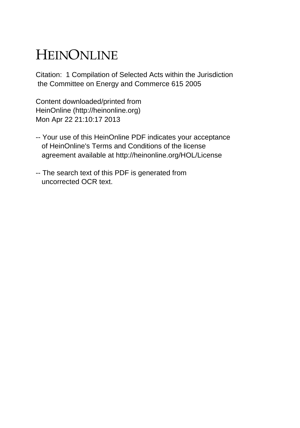# HEINONLINE

Citation: 1 Compilation of Selected Acts within the Jurisdiction the Committee on Energy and Commerce 615 2005

Content downloaded/printed from HeinOnline (http://heinonline.org) Mon Apr 22 21:10:17 2013

- -- Your use of this HeinOnline PDF indicates your acceptance of HeinOnline's Terms and Conditions of the license agreement available at http://heinonline.org/HOL/License
- -- The search text of this PDF is generated from uncorrected OCR text.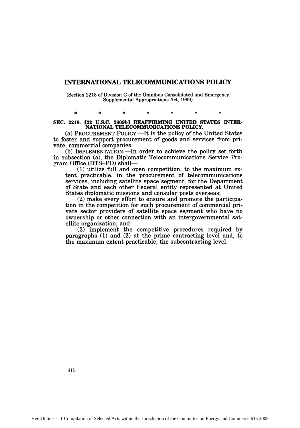## INTERNATIONAL TELECOMMUNICATIONS POLICY

(Section **2218** of Division **C** of the Omnibus Consolidated and Emergency Supplemental Appropriations Act, **1999)**

#### $\star$  $\ast$

### **SEC. 2218. [22 U.S.C. 2669b] REAFFIRMING UNITED STATES INTER-NATIONAL TELECOMMUNICATIONS POLICY.**

(a) PROCUREMENT **POLICY.-It** is the policy of the United States to foster and support procurement of goods and services from private, commercial companies.

**(b)** IMPLEMENTATION.-In order to achieve the policy set forth in subsection (a), the Diplomatic Telecommunications Service Program Office **(DTS-PO)** shall-

**(1)** utilize full and open competition, to the maximum extent practicable, in the procurement of telecommunications services, including satellite space segment, for the Department of State and each other Federal entity represented at United States diplomatic missions and consular posts overseas;

(2) make every effort to ensure and promote the participation in the competition for such procurement of commercial private sector providers of satellite space segment who have no ownership or other connection with an intergovernmental satellite organization; and

**(3)** implement the competitive procedures required **by** paragraphs **(1)** and (2) at the prime contracting level and, to the maximum extent practicable, the subcontracting level.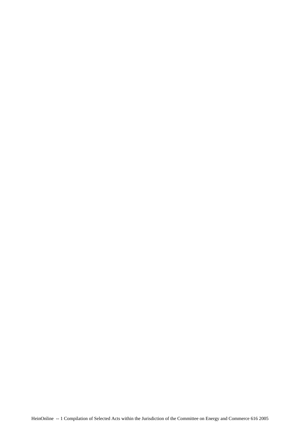HeinOnline -- 1 Compilation of Selected Acts within the Jurisdiction of the Committee on Energy and Commerce 616 2005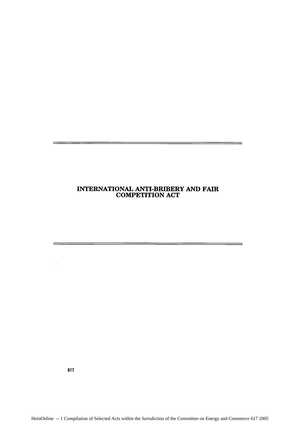## INTERNATIONAL ANTI-BRIBERY **AND** FAIR **COMPETITION ACT**

617

 $\overline{\phantom{a}}$